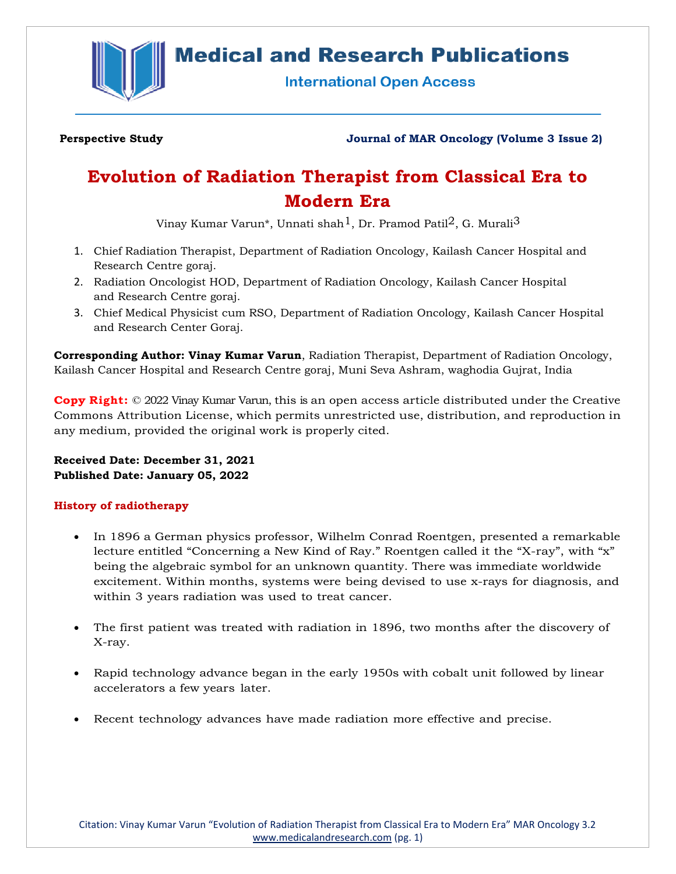

# **Medical and Research Publications**

**International Open Access** 

**Perspective Study Journal of MAR Oncology (Volume 3 Issue 2)**

# **Evolution of Radiation Therapist from Classical Era to Modern Era**

Vinay Kumar Varun\*, Unnati shah<sup>1</sup>, Dr. Pramod Patil<sup>2</sup>, G. Murali<sup>3</sup>

- 1. Chief Radiation Therapist, Department of Radiation Oncology, Kailash Cancer Hospital and Research Centre goraj.
- 2. Radiation Oncologist HOD, Department of Radiation Oncology, Kailash Cancer Hospital and Research Centre goraj.
- 3. Chief Medical Physicist cum RSO, Department of Radiation Oncology, Kailash Cancer Hospital and Research Center Goraj.

**Corresponding Author: Vinay Kumar Varun**, Radiation Therapist, Department of Radiation Oncology, Kailash Cancer Hospital and Research Centre goraj, Muni Seva Ashram, waghodia Gujrat, India

**Copy Right:** © 2022 Vinay Kumar Varun, this is an open access article distributed under the Creative Commons Attribution License, which permits unrestricted use, distribution, and reproduction in any medium, provided the original work is properly cited.

**Received Date: December 31, 2021 Published Date: January 05, 2022**

# **History of radiotherapy**

- In 1896 a German physics professor, Wilhelm Conrad Roentgen, presented a remarkable lecture entitled "Concerning a New Kind of Ray." Roentgen called it the "X-ray", with "x" being the algebraic symbol for an unknown quantity. There was immediate worldwide excitement. Within months, systems were being devised to use x-rays for diagnosis, and within 3 years radiation was used to treat cancer.
- The first patient was treated with radiation in 1896, two months after the discovery of X-ray.
- Rapid technology advance began in the early 1950s with cobalt unit followed by linear accelerators a few years later.
- Recent technology advances have made radiation more effective and precise.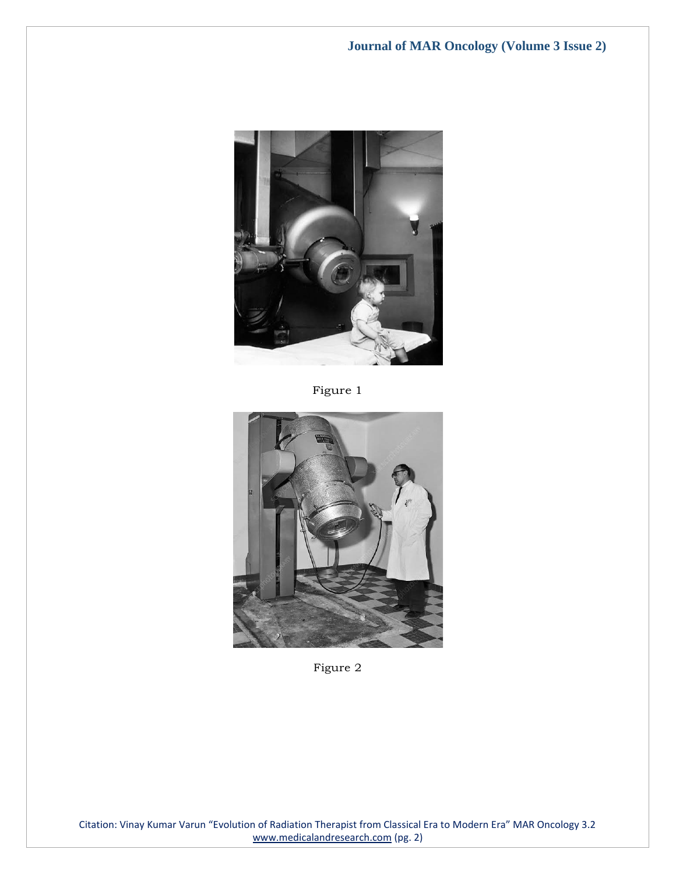

Figure 1



Figure 2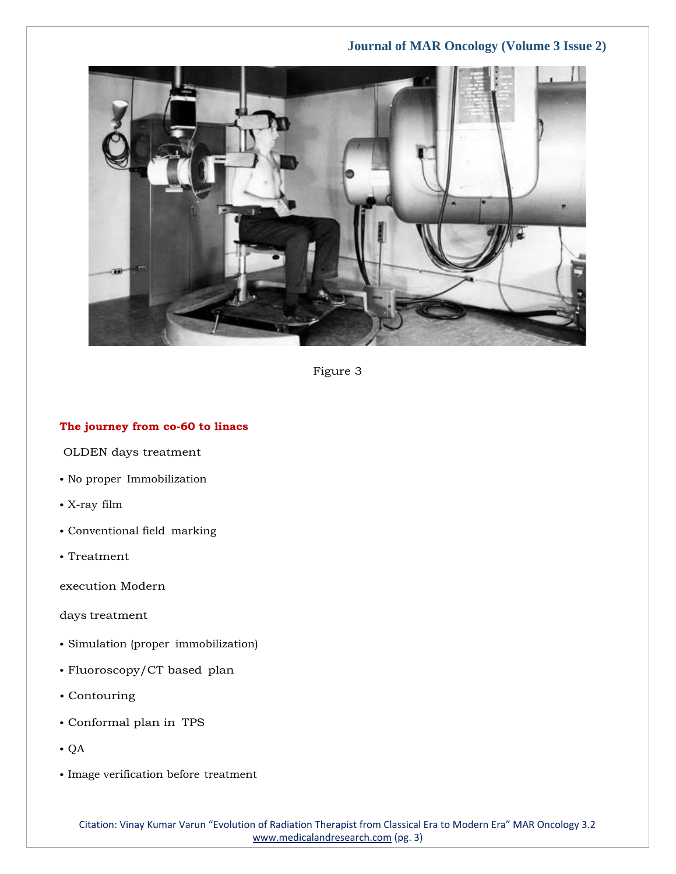

Figure 3

#### **The journey from co-60 to linacs**

OLDEN days treatment

- No proper Immobilization
- X-ray film
- Conventional field marking
- Treatment

execution Modern

days treatment

- Simulation (proper immobilization)
- Fluoroscopy/CT based plan
- Contouring
- Conformal plan in TPS
- QA
- Image verification before treatment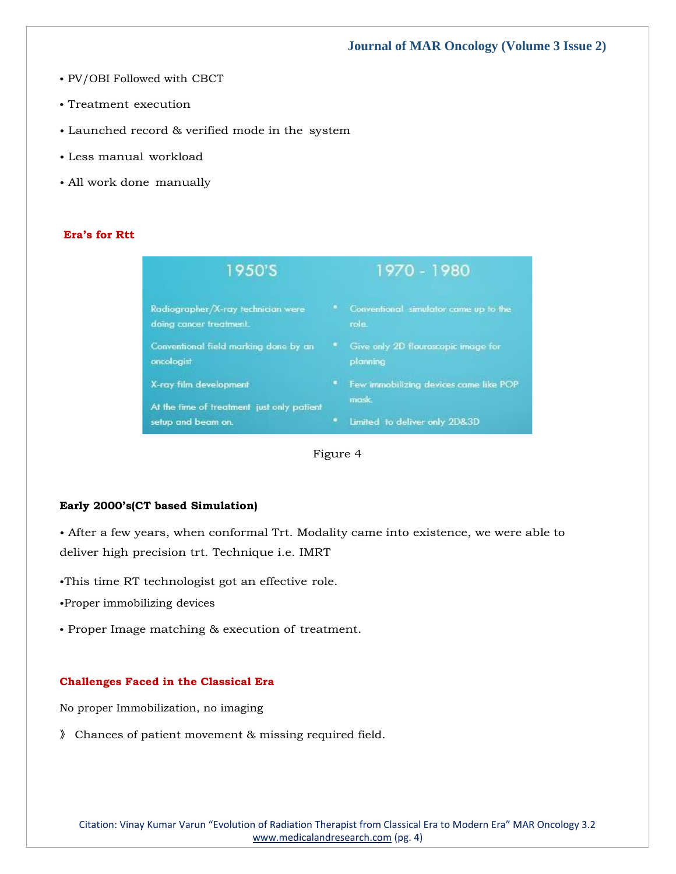- PV/OBI Followed with CBCT
- Treatment execution
- Launched record & verified mode in the system
- Less manual workload
- All work done manually

#### **Era's for Rtt**

| 1950'S                                                               |  | 1970 - 1980                                     |  |
|----------------------------------------------------------------------|--|-------------------------------------------------|--|
| Radiographer/X-ray technician were<br>doing cancer treatment.        |  | Conventional simulator came up to the<br>role.  |  |
| Conventional field marking done by an<br>oncologist                  |  | Give only 2D flouroscopic image for<br>planning |  |
| X-ray film development<br>At the time of treatment just only patient |  | Few immobilizing devices came like POP<br>mask. |  |
| setup and beam on.                                                   |  | Limited to deliver only 2D&3D                   |  |



#### **Early 2000's(CT based Simulation)**

• After a few years, when conformal Trt. Modality came into existence, we were able to deliver high precision trt. Technique i.e. IMRT

- •This time RT technologist got an effective role.
- •Proper immobilizing devices
- Proper Image matching & execution of treatment.

#### **Challenges Faced in the Classical Era**

No proper Immobilization, no imaging

》 Chances of patient movement & missing required field.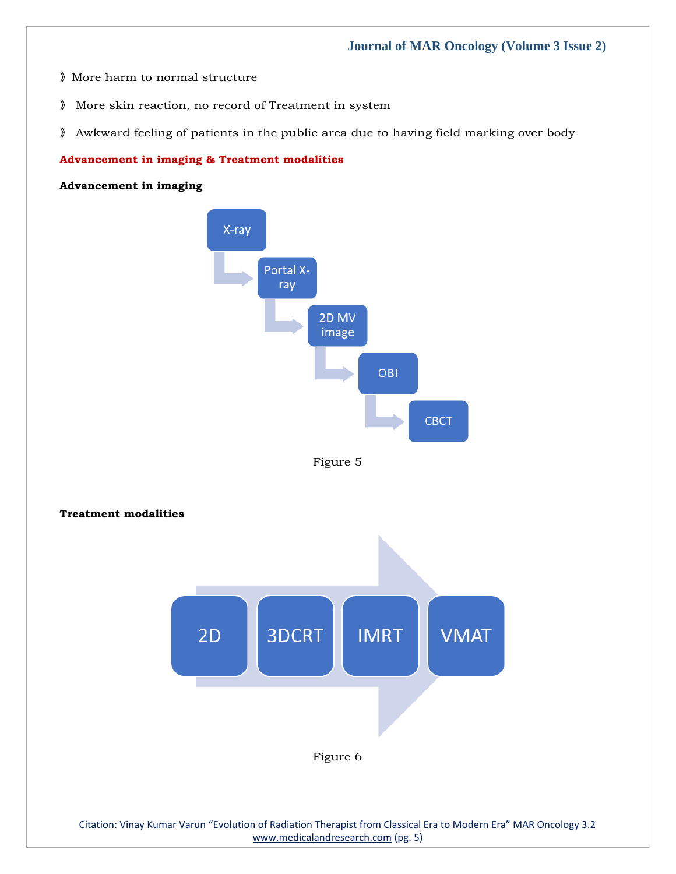- 》More harm to normal structure
- 》 More skin reaction, no record of Treatment in system
- 》 Awkward feeling of patients in the public area due to having field marking over body

#### **Advancement in imaging & Treatment modalities**

## **Advancement in imaging**





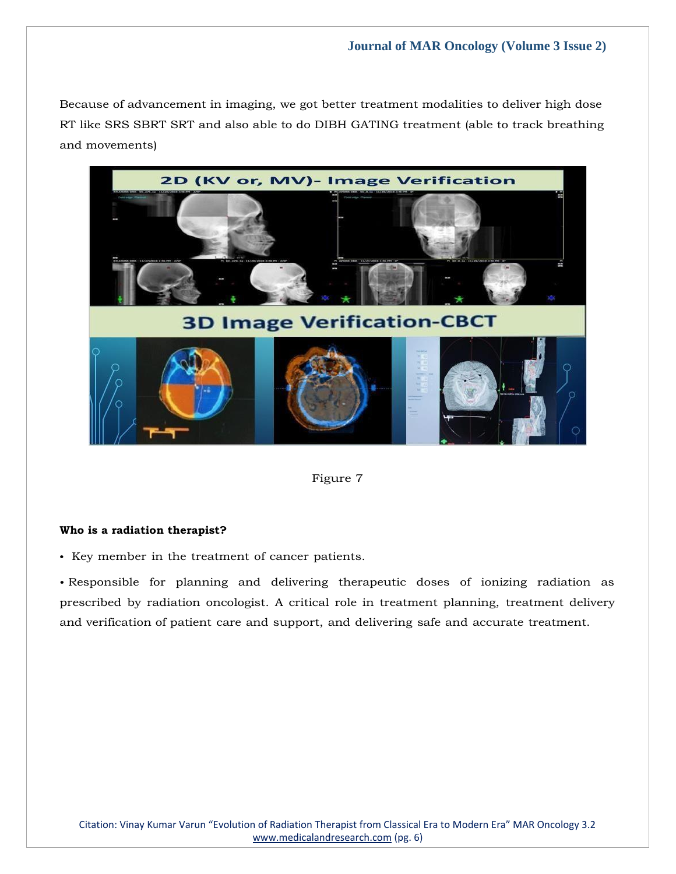Because of advancement in imaging, we got better treatment modalities to deliver high dose RT like SRS SBRT SRT and also able to do DIBH GATING treatment (able to track breathing and movements)



Figure 7

#### **Who is a radiation therapist?**

• Key member in the treatment of cancer patients.

• Responsible for planning and delivering therapeutic doses of ionizing radiation as prescribed by radiation oncologist. A critical role in treatment planning, treatment delivery and verification of patient care and support, and delivering safe and accurate treatment.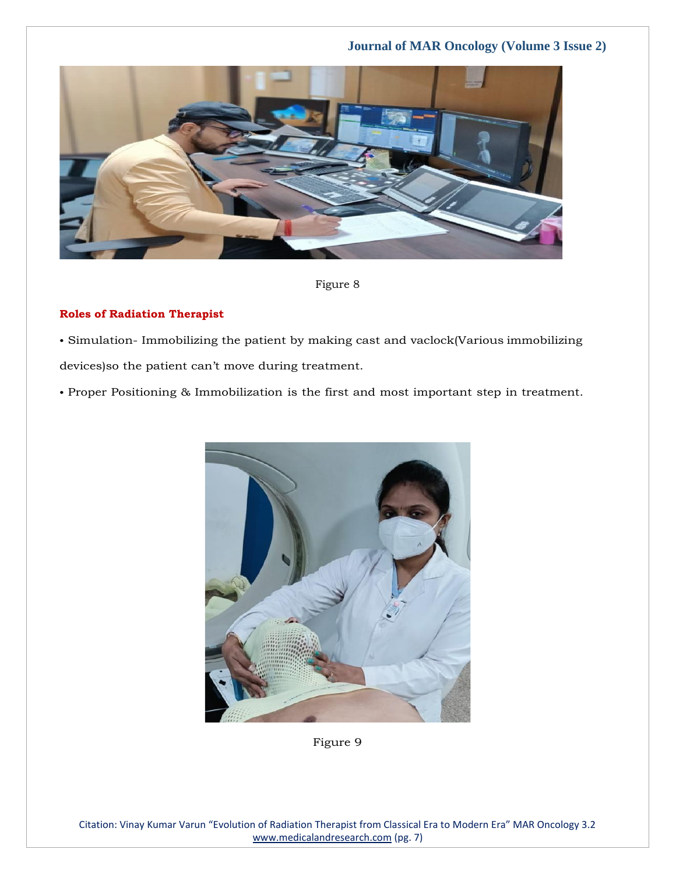

Figure 8

#### **Roles of Radiation Therapist**

• Simulation- Immobilizing the patient by making cast and vaclock(Various immobilizing devices)so the patient can't move during treatment.

• Proper Positioning & Immobilization is the first and most important step in treatment.



Figure 9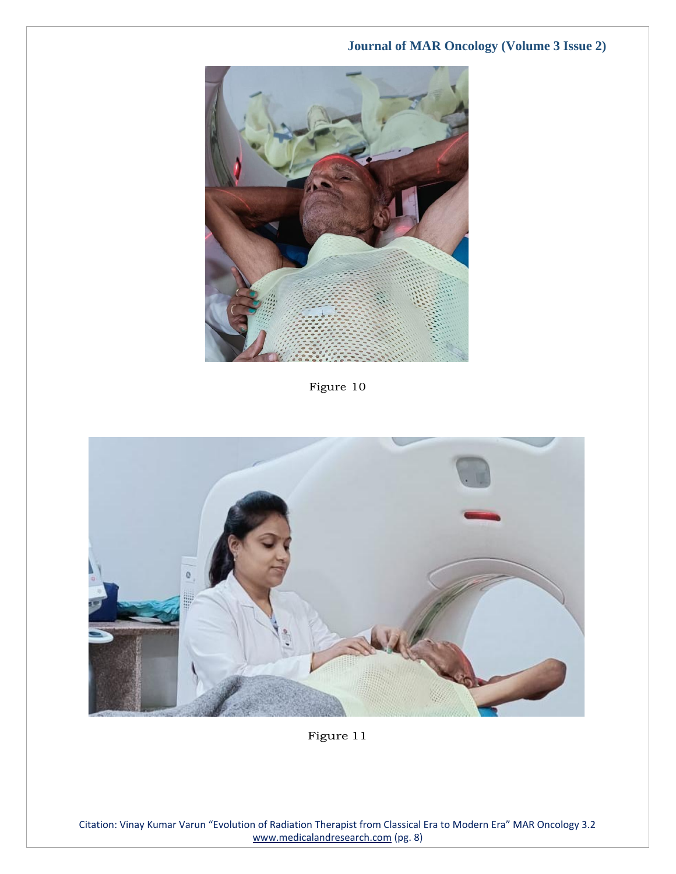

Figure 10



Figure 11

Citation: Vinay Kumar Varun "Evolution of Radiation Therapist from Classical Era to Modern Era" MAR Oncology 3.2 [www.medicalandresearch.com](http://www.medicalandresearch.com/) (pg. 8)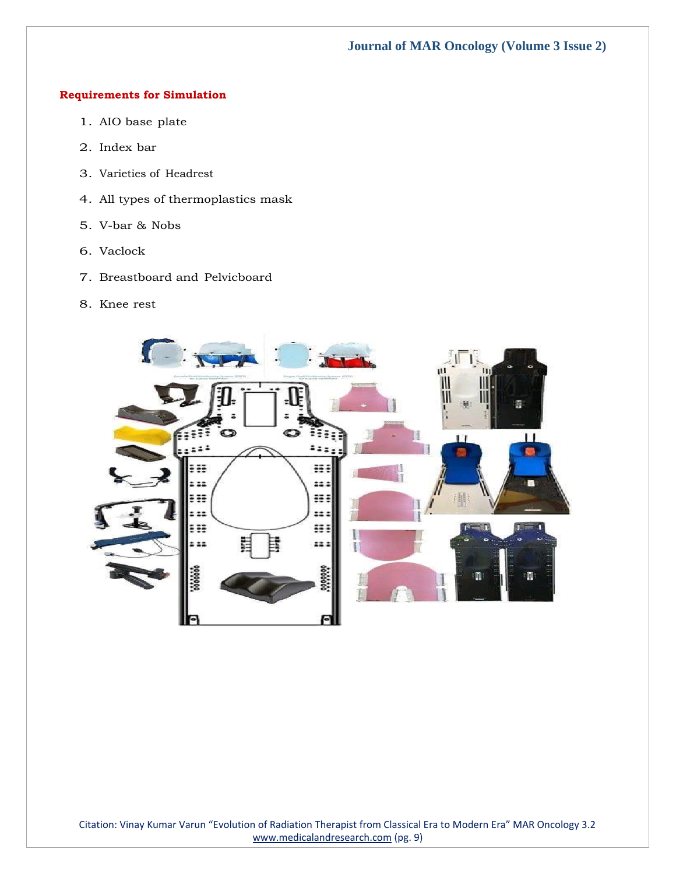## **Requirements for Simulation**

- 1. AIO base plate
- 2. Index bar
- 3. Varieties of Headrest
- 4. All types of thermoplastics mask
- 5. V-bar & Nobs
- 6. Vaclock
- 7. Breastboard and Pelvicboard
- 8. Knee rest

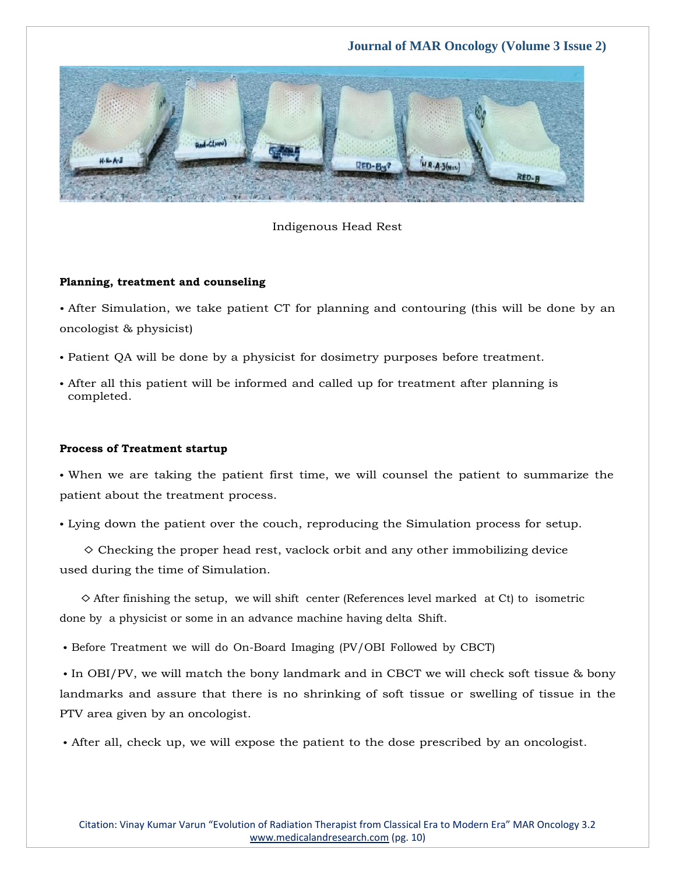

#### Indigenous Head Rest

#### **Planning, treatment and counseling**

• After Simulation, we take patient CT for planning and contouring (this will be done by an oncologist & physicist)

- Patient QA will be done by a physicist for dosimetry purposes before treatment.
- After all this patient will be informed and called up for treatment after planning is completed.

#### **Process of Treatment startup**

• When we are taking the patient first time, we will counsel the patient to summarize the patient about the treatment process.

• Lying down the patient over the couch, reproducing the Simulation process for setup.

 $\diamond$  Checking the proper head rest, vaclock orbit and any other immobilizing device used during the time of Simulation.

 $\diamond$  After finishing the setup, we will shift center (References level marked at Ct) to isometric done by a physicist or some in an advance machine having delta Shift.

• Before Treatment we will do On-Board Imaging (PV/OBI Followed by CBCT)

• In OBI/PV, we will match the bony landmark and in CBCT we will check soft tissue & bony landmarks and assure that there is no shrinking of soft tissue or swelling of tissue in the PTV area given by an oncologist.

• After all, check up, we will expose the patient to the dose prescribed by an oncologist.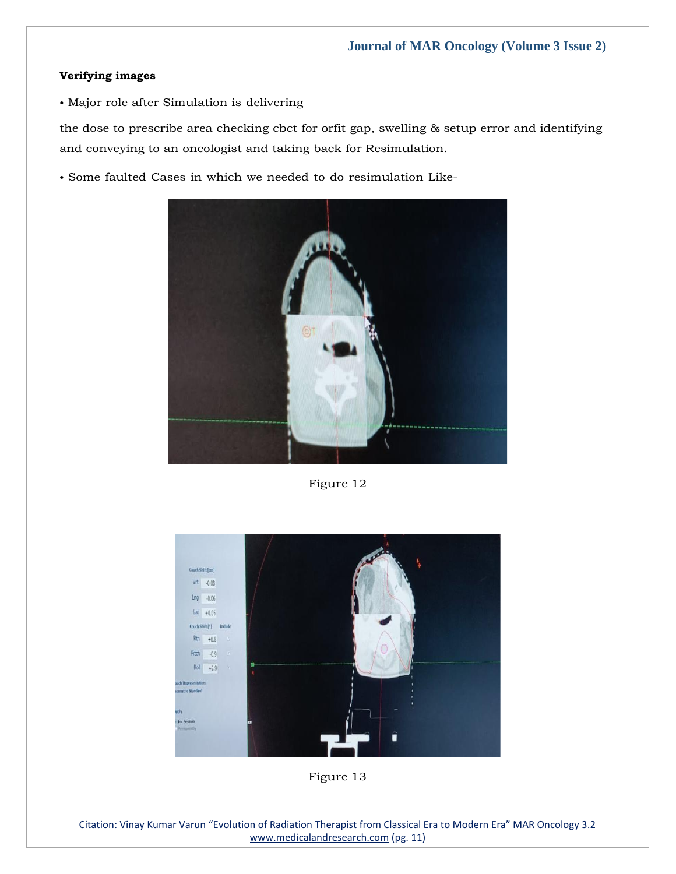### **Verifying images**

• Major role after Simulation is delivering

the dose to prescribe area checking cbct for orfit gap, swelling & setup error and identifying and conveying to an oncologist and taking back for Resimulation.

• Some faulted Cases in which we needed to do resimulation Like-



Figure 12



Figure 13

Citation: Vinay Kumar Varun "Evolution of Radiation Therapist from Classical Era to Modern Era" MAR Oncology 3.2 [www.medicalandresearch.com](http://www.medicalandresearch.com/) (pg. 11)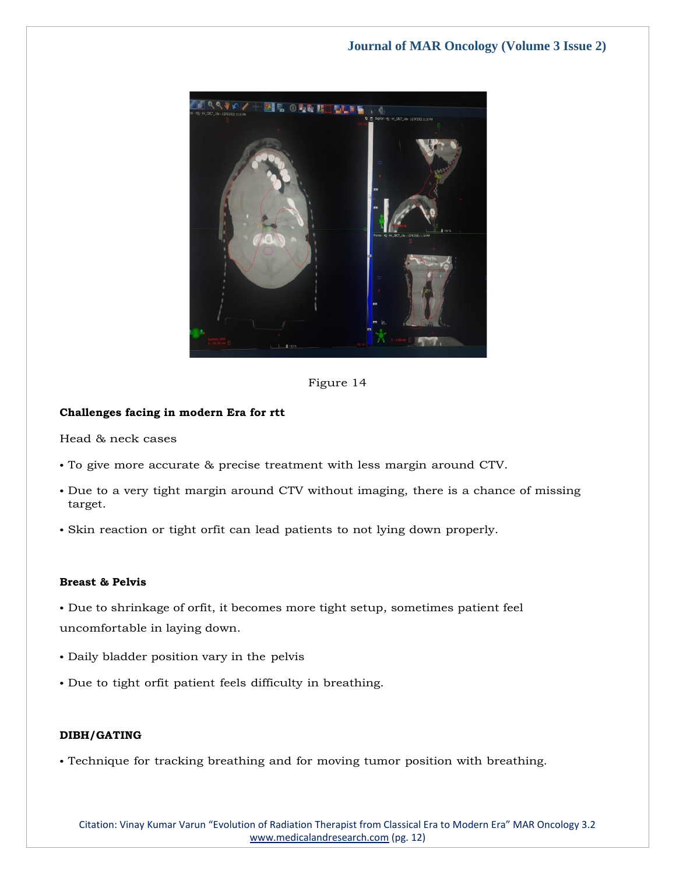

Figure 14

## **Challenges facing in modern Era for rtt**

Head & neck cases

- To give more accurate & precise treatment with less margin around CTV.
- Due to a very tight margin around CTV without imaging, there is a chance of missing target.
- Skin reaction or tight orfit can lead patients to not lying down properly.

## **Breast & Pelvis**

• Due to shrinkage of orfit, it becomes more tight setup, sometimes patient feel uncomfortable in laying down.

- Daily bladder position vary in the pelvis
- Due to tight orfit patient feels difficulty in breathing.

## **DIBH/GATING**

• Technique for tracking breathing and for moving tumor position with breathing.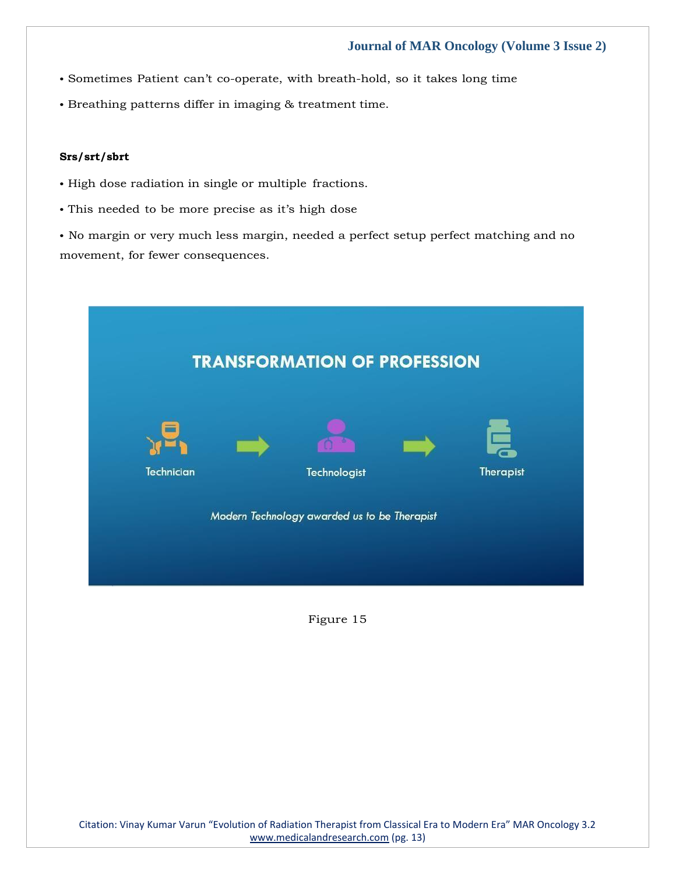- Sometimes Patient can't co-operate, with breath-hold, so it takes long time
- Breathing patterns differ in imaging & treatment time.

#### **Srs/srt/sbrt**

- High dose radiation in single or multiple fractions.
- This needed to be more precise as it's high dose

• No margin or very much less margin, needed a perfect setup perfect matching and no movement, for fewer consequences.

| <b>TRANSFORMATION OF PROFESSION</b>          |              |                  |  |  |
|----------------------------------------------|--------------|------------------|--|--|
| Technician                                   | Technologist | <b>Therapist</b> |  |  |
| Modern Technology awarded us to be Therapist |              |                  |  |  |

Figure 15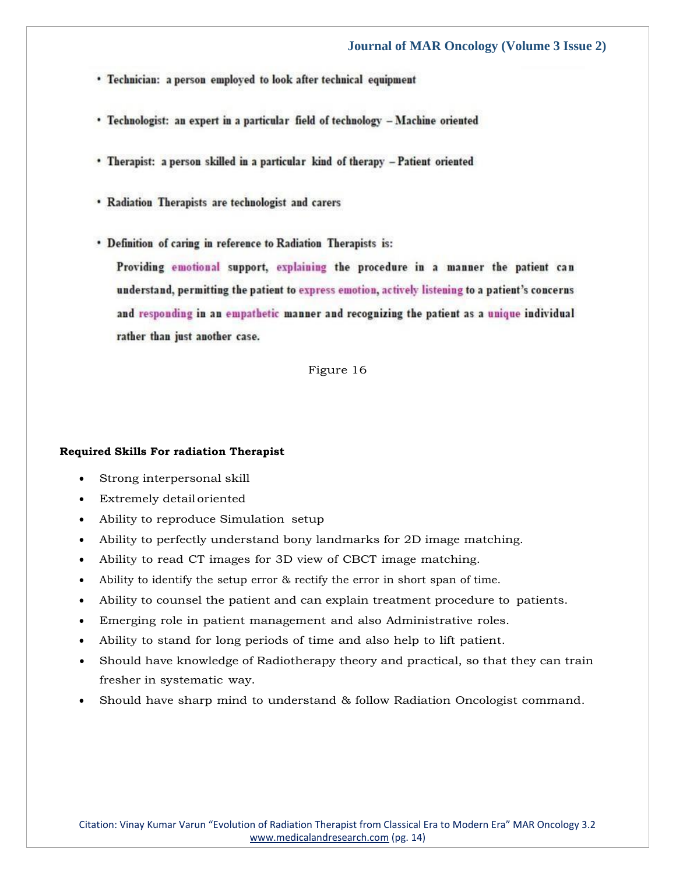- Technician: a person employed to look after technical equipment
- Technologist: an expert in a particular field of technology Machine oriented
- Therapist: a person skilled in a particular kind of therapy Patient oriented
- · Radiation Therapists are technologist and carers
- . Definition of caring in reference to Radiation Therapists is:

Providing emotional support, explaining the procedure in a manner the patient can understand, permitting the patient to express emotion, actively listening to a patient's concerns and responding in an empathetic manner and recognizing the patient as a unique individual rather than just another case.

Figure 16

#### **Required Skills For radiation Therapist**

- Strong interpersonal skill
- Extremely detail oriented
- Ability to reproduce Simulation setup
- Ability to perfectly understand bony landmarks for 2D image matching.
- Ability to read CT images for 3D view of CBCT image matching.
- Ability to identify the setup error & rectify the error in short span of time.
- Ability to counsel the patient and can explain treatment procedure to patients.
- Emerging role in patient management and also Administrative roles.
- Ability to stand for long periods of time and also help to lift patient.
- Should have knowledge of Radiotherapy theory and practical, so that they can train fresher in systematic way.
- Should have sharp mind to understand & follow Radiation Oncologist command.